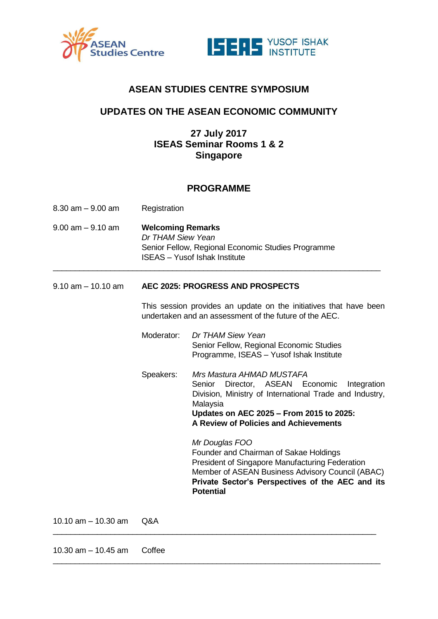



# **ASEAN STUDIES CENTRE SYMPOSIUM**

# **UPDATES ON THE ASEAN ECONOMIC COMMUNITY**

### **27 July 2017 ISEAS Seminar Rooms 1 & 2 Singapore**

#### **PROGRAMME**

| $8.30$ am $-9.00$ am   | Registration                                                                                                                                |                                                                                                                                                                                                                                                |
|------------------------|---------------------------------------------------------------------------------------------------------------------------------------------|------------------------------------------------------------------------------------------------------------------------------------------------------------------------------------------------------------------------------------------------|
| $9.00$ am $-9.10$ am   | <b>Welcoming Remarks</b><br>Dr THAM Siew Yean<br>Senior Fellow, Regional Economic Studies Programme<br><b>ISEAS</b> - Yusof Ishak Institute |                                                                                                                                                                                                                                                |
| $9.10$ am $- 10.10$ am |                                                                                                                                             | AEC 2025: PROGRESS AND PROSPECTS                                                                                                                                                                                                               |
|                        | This session provides an update on the initiatives that have been<br>undertaken and an assessment of the future of the AEC.                 |                                                                                                                                                                                                                                                |
|                        | Moderator:                                                                                                                                  | Dr THAM Siew Yean<br>Senior Fellow, Regional Economic Studies<br>Programme, ISEAS - Yusof Ishak Institute                                                                                                                                      |
|                        | Speakers:                                                                                                                                   | Mrs Mastura AHMAD MUSTAFA<br>Senior<br>Director, ASEAN<br>Economic<br>Integration<br>Division, Ministry of International Trade and Industry,<br>Malaysia<br>Updates on AEC 2025 - From 2015 to 2025:<br>A Review of Policies and Achievements  |
|                        |                                                                                                                                             | Mr Douglas FOO<br>Founder and Chairman of Sakae Holdings<br><b>President of Singapore Manufacturing Federation</b><br>Member of ASEAN Business Advisory Council (ABAC)<br>Private Sector's Perspectives of the AEC and its<br><b>Potential</b> |
| 10.10 $am - 10.30$ am  | Q&A                                                                                                                                         |                                                                                                                                                                                                                                                |

 $\_$  , and the set of the set of the set of the set of the set of the set of the set of the set of the set of the set of the set of the set of the set of the set of the set of the set of the set of the set of the set of th

10.30 am – 10.45 am Coffee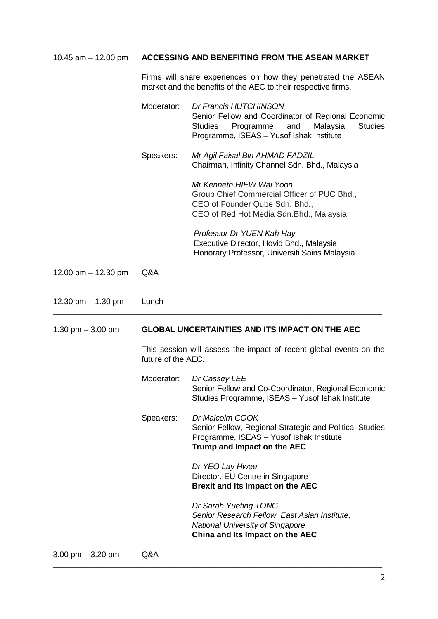### 10.45 am – 12.00 pm **ACCESSING AND BENEFITING FROM THE ASEAN MARKET**

Firms will share experiences on how they penetrated the ASEAN market and the benefits of the AEC to their respective firms.

|                      | Moderator:                                            | Dr Francis HUTCHINSON<br>Senior Fellow and Coordinator of Regional Economic<br>Programme<br>and<br>Malaysia<br><b>Studies</b><br><b>Studies</b><br>Programme, ISEAS - Yusof Ishak Institute |  |
|----------------------|-------------------------------------------------------|---------------------------------------------------------------------------------------------------------------------------------------------------------------------------------------------|--|
|                      | Speakers:                                             | Mr Agil Faisal Bin AHMAD FADZIL<br>Chairman, Infinity Channel Sdn. Bhd., Malaysia                                                                                                           |  |
|                      |                                                       | Mr Kenneth HIEW Wai Yoon<br>Group Chief Commercial Officer of PUC Bhd.,<br>CEO of Founder Qube Sdn. Bhd.,<br>CEO of Red Hot Media Sdn. Bhd., Malaysia                                       |  |
|                      |                                                       | Professor Dr YUEN Kah Hay<br>Executive Director, Hovid Bhd., Malaysia<br>Honorary Professor, Universiti Sains Malaysia                                                                      |  |
| 12.00 pm - 12.30 pm  | Q&A                                                   |                                                                                                                                                                                             |  |
| 12.30 pm $-$ 1.30 pm | Lunch                                                 |                                                                                                                                                                                             |  |
| 1.30 pm $-$ 3.00 pm  | <b>GLOBAL UNCERTAINTIES AND ITS IMPACT ON THE AEC</b> |                                                                                                                                                                                             |  |
|                      |                                                       |                                                                                                                                                                                             |  |
|                      | future of the AEC.                                    | This session will assess the impact of recent global events on the                                                                                                                          |  |
|                      | Moderator:                                            | Dr Cassey LEE<br>Senior Fellow and Co-Coordinator, Regional Economic<br>Studies Programme, ISEAS - Yusof Ishak Institute                                                                    |  |
|                      | Speakers:                                             | Dr Malcolm COOK<br>Senior Fellow, Regional Strategic and Political Studies<br>Programme, ISEAS - Yusof Ishak Institute<br>Trump and Impact on the AEC                                       |  |
|                      |                                                       | Dr YEO Lay Hwee<br>Director, EU Centre in Singapore<br>Brexit and Its Impact on the AEC                                                                                                     |  |

\_\_\_\_\_\_\_\_\_\_\_\_\_\_\_\_\_\_\_\_\_\_\_\_\_\_\_\_\_\_\_\_\_\_\_\_\_\_\_\_\_\_\_\_\_\_\_\_\_\_\_\_\_\_\_\_\_\_\_\_\_\_\_\_\_\_\_\_\_\_\_\_\_\_\_\_\_\_

3.00 pm – 3.20 pm Q&A